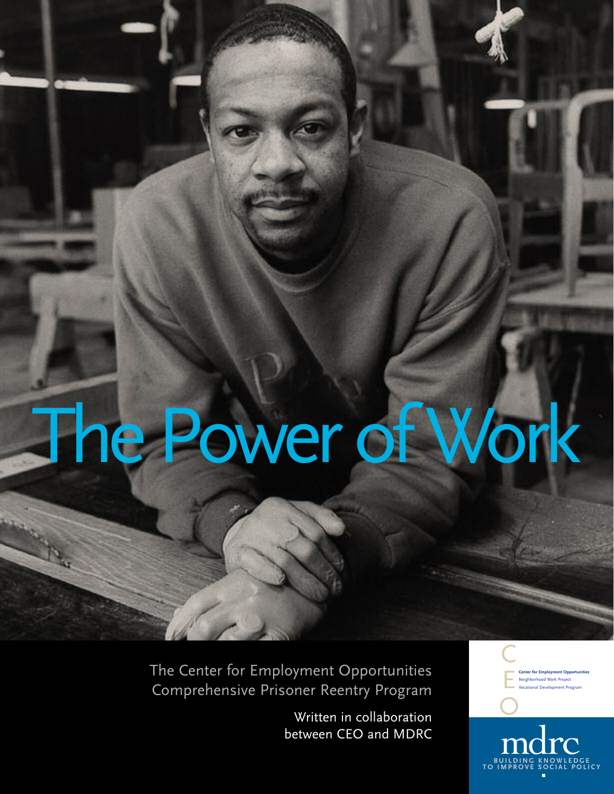# The Power of Work

The Center for Employment Opportunities Comprehensive Prisoner Reentry Program

> Written in collaboration between CEO and MDRC

**Center for Employment Opportunities** Neighborhood Work Proje tional Development Prog C E

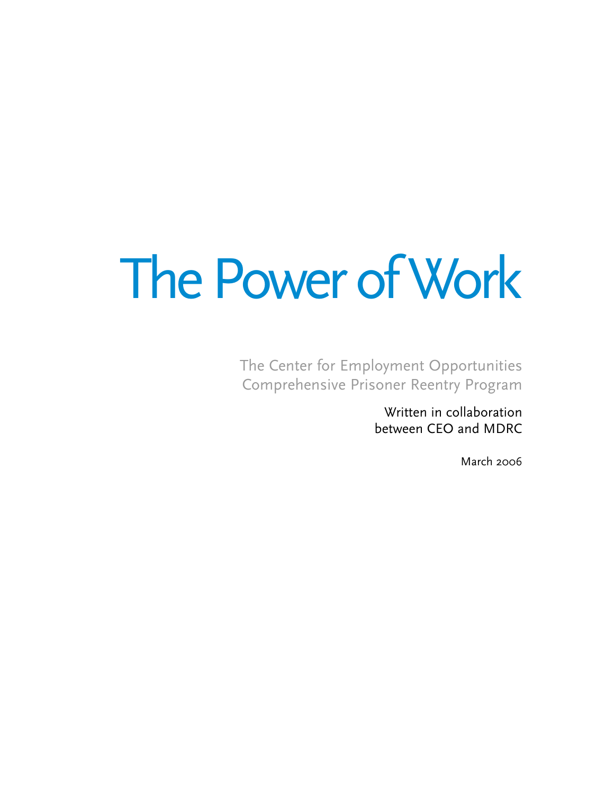## The Power of Work

The Center for Employment Opportunities Comprehensive Prisoner Reentry Program

> Written in collaboration between CEO and MDRC

> > March 2006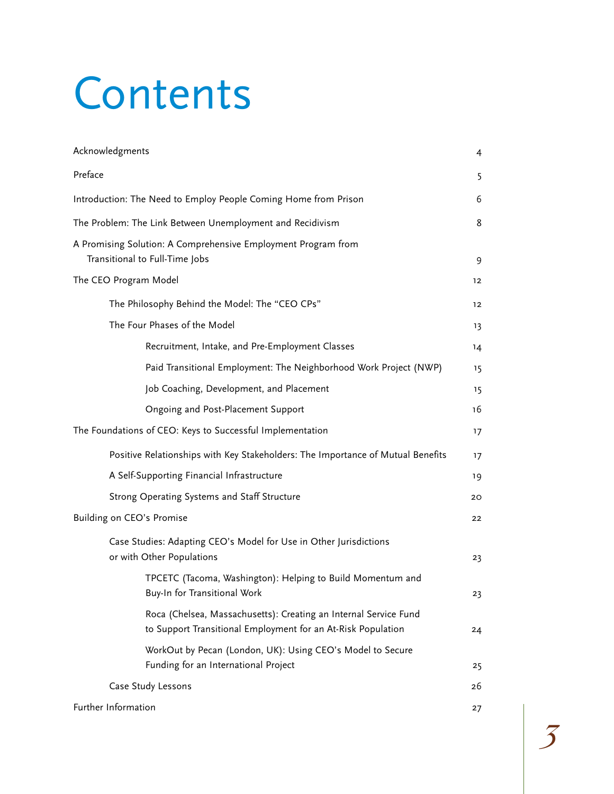## Contents

| Acknowledgments                                                                                                                  | 4       |  |  |
|----------------------------------------------------------------------------------------------------------------------------------|---------|--|--|
| Preface                                                                                                                          | 5       |  |  |
| Introduction: The Need to Employ People Coming Home from Prison                                                                  |         |  |  |
| The Problem: The Link Between Unemployment and Recidivism                                                                        |         |  |  |
| A Promising Solution: A Comprehensive Employment Program from<br>Transitional to Full-Time Jobs                                  |         |  |  |
| The CEO Program Model                                                                                                            | 12      |  |  |
| The Philosophy Behind the Model: The "CEO CPs"                                                                                   | $12 \,$ |  |  |
| The Four Phases of the Model                                                                                                     | 13      |  |  |
| Recruitment, Intake, and Pre-Employment Classes                                                                                  | 14      |  |  |
| Paid Transitional Employment: The Neighborhood Work Project (NWP)                                                                | 15      |  |  |
| Job Coaching, Development, and Placement                                                                                         | 15      |  |  |
| Ongoing and Post-Placement Support                                                                                               | 16      |  |  |
| The Foundations of CEO: Keys to Successful Implementation                                                                        |         |  |  |
| Positive Relationships with Key Stakeholders: The Importance of Mutual Benefits                                                  | 17      |  |  |
| A Self-Supporting Financial Infrastructure                                                                                       |         |  |  |
| Strong Operating Systems and Staff Structure                                                                                     |         |  |  |
| Building on CEO's Promise                                                                                                        | 22      |  |  |
| Case Studies: Adapting CEO's Model for Use in Other Jurisdictions<br>or with Other Populations                                   |         |  |  |
| TPCETC (Tacoma, Washington): Helping to Build Momentum and<br>Buy-In for Transitional Work                                       | 23      |  |  |
| Roca (Chelsea, Massachusetts): Creating an Internal Service Fund<br>to Support Transitional Employment for an At-Risk Population | 24      |  |  |
| WorkOut by Pecan (London, UK): Using CEO's Model to Secure<br>Funding for an International Project                               | 25      |  |  |
| Case Study Lessons                                                                                                               |         |  |  |
| Further Information                                                                                                              | 27      |  |  |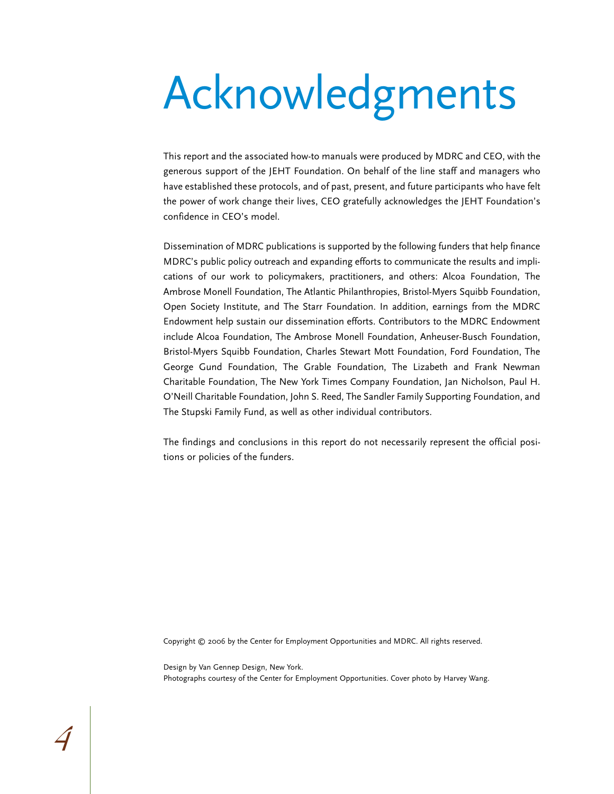## Acknowledgments

This report and the associated how-to manuals were produced by MDRC and CEO, with the generous support of the JEHT Foundation. On behalf of the line staff and managers who have established these protocols, and of past, present, and future participants who have felt the power of work change their lives, CEO gratefully acknowledges the JEHT Foundation's confidence in CEO's model.

Dissemination of MDRC publications is supported by the following funders that help finance MDRC's public policy outreach and expanding efforts to communicate the results and implications of our work to policymakers, practitioners, and others: Alcoa Foundation, The Ambrose Monell Foundation, The Atlantic Philanthropies, Bristol-Myers Squibb Foundation, Open Society Institute, and The Starr Foundation. In addition, earnings from the MDRC Endowment help sustain our dissemination efforts. Contributors to the MDRC Endowment include Alcoa Foundation, The Ambrose Monell Foundation, Anheuser-Busch Foundation, Bristol-Myers Squibb Foundation, Charles Stewart Mott Foundation, Ford Foundation, The George Gund Foundation, The Grable Foundation, The Lizabeth and Frank Newman Charitable Foundation, The New York Times Company Foundation, Jan Nicholson, Paul H. O'Neill Charitable Foundation, John S. Reed, The Sandler Family Supporting Foundation, and The Stupski Family Fund, as well as other individual contributors.

The findings and conclusions in this report do not necessarily represent the official positions or policies of the funders.

Copyright © 2006 by the Center for Employment Opportunities and MDRC. All rights reserved.

Design by Van Gennep Design, New York. Photographs courtesy of the Center for Employment Opportunities. Cover photo by Harvey Wang.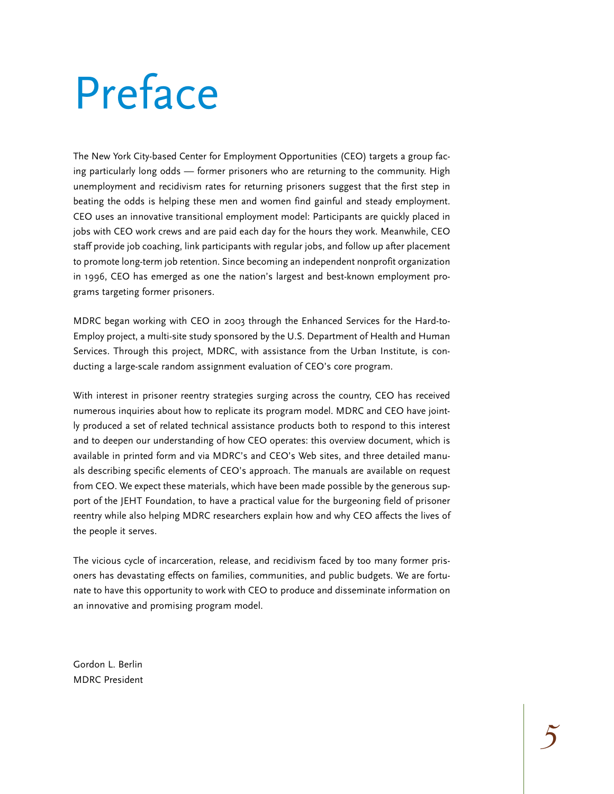## Preface

The New York City-based Center for Employment Opportunities (CEO) targets a group facing particularly long odds — former prisoners who are returning to the community. High unemployment and recidivism rates for returning prisoners suggest that the first step in beating the odds is helping these men and women find gainful and steady employment. CEO uses an innovative transitional employment model: Participants are quickly placed in jobs with CEO work crews and are paid each day for the hours they work. Meanwhile, CEO staff provide job coaching, link participants with regular jobs, and follow up after placement to promote long-term job retention. Since becoming an independent nonprofit organization in 1996, CEO has emerged as one the nation's largest and best-known employment programs targeting former prisoners.

MDRC began working with CEO in 2003 through the Enhanced Services for the Hard-to-Employ project, a multi-site study sponsored by the U.S. Department of Health and Human Services. Through this project, MDRC, with assistance from the Urban Institute, is conducting a large-scale random assignment evaluation of CEO's core program.

With interest in prisoner reentry strategies surging across the country, CEO has received numerous inquiries about how to replicate its program model. MDRC and CEO have jointly produced a set of related technical assistance products both to respond to this interest and to deepen our understanding of how CEO operates: this overview document, which is available in printed form and via MDRC's and CEO's Web sites, and three detailed manuals describing specific elements of CEO's approach. The manuals are available on request from CEO. We expect these materials, which have been made possible by the generous support of the JEHT Foundation, to have a practical value for the burgeoning field of prisoner reentry while also helping MDRC researchers explain how and why CEO affects the lives of the people it serves.

The vicious cycle of incarceration, release, and recidivism faced by too many former prisoners has devastating effects on families, communities, and public budgets. We are fortunate to have this opportunity to work with CEO to produce and disseminate information on an innovative and promising program model.

Gordon L. Berlin MDRC President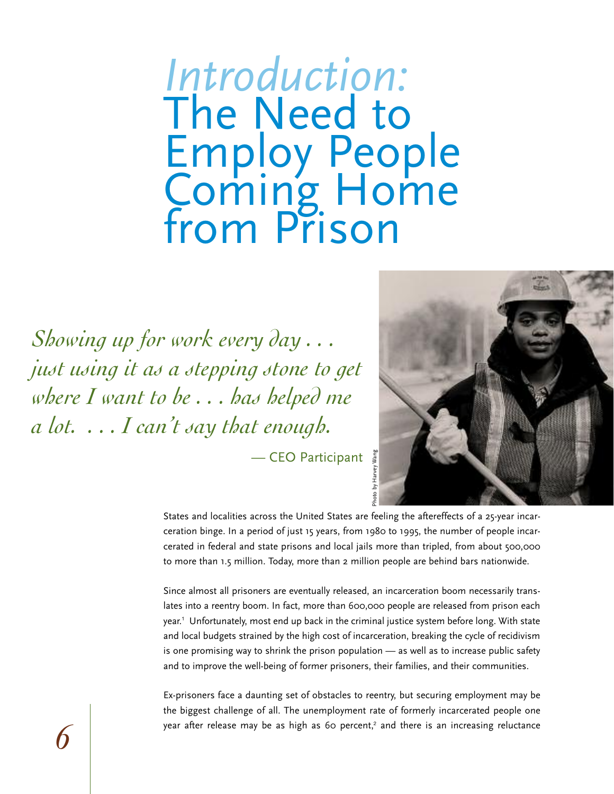### *Introduction:*  The Need to Employ People Coming Home from Prison

*Showing up for work every day . . . just using it as a stepping stone to get where I want to be . . . has helped me a lot. . . . I can't say that enough.* 

> Harvey Wang — CEO Participant



States and localities across the United States are feeling the aftereffects of a 25-year incarceration binge. In a period of just 15 years, from 1980 to 1995, the number of people incarcerated in federal and state prisons and local jails more than tripled, from about 500,000 to more than 1.5 million. Today, more than 2 million people are behind bars nationwide.

Since almost all prisoners are eventually released, an incarceration boom necessarily translates into a reentry boom. In fact, more than 600,000 people are released from prison each year.<sup>1</sup> Unfortunately, most end up back in the criminal justice system before long. With state and local budgets strained by the high cost of incarceration, breaking the cycle of recidivism is one promising way to shrink the prison population — as well as to increase public safety and to improve the well-being of former prisoners, their families, and their communities.

Ex-prisoners face a daunting set of obstacles to reentry, but securing employment may be the biggest challenge of all. The unemployment rate of formerly incarcerated people one year after release may be as high as 60 percent,<sup>2</sup> and there is an increasing reluctance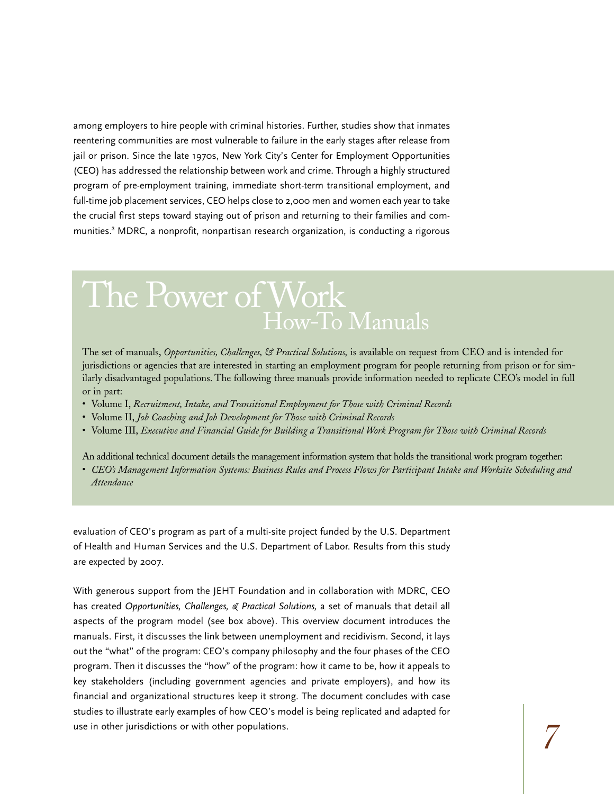among employers to hire people with criminal histories. Further, studies show that inmates reentering communities are most vulnerable to failure in the early stages after release from jail or prison. Since the late 1970s, New York City's Center for Employment Opportunities (CEO) has addressed the relationship between work and crime. Through a highly structured program of pre-employment training, immediate short-term transitional employment, and full-time job placement services, CEO helps close to 2,000 men and women each year to take the crucial first steps toward staying out of prison and returning to their families and communities.<sup>3</sup> MDRC, a nonprofit, nonpartisan research organization, is conducting a rigorous

### The Power of Work How-To Manuals

The set of manuals, *Opportunities, Challenges, & Practical Solutions,* is available on request from CEO and is intended for jurisdictions or agencies that are interested in starting an employment program for people returning from prison or for similarly disadvantaged populations. The following three manuals provide information needed to replicate CEO's model in full or in part:

- Volume I, *Recruitment, Intake, and Transitional Employment for Those with Criminal Records*
- Volume II, *Job Coaching and Job Development for Those with Criminal Records*
- Volume III, *Executive and Financial Guide for Building a Transitional Work Program for Those with Criminal Records*

An additional technical document details the management information system that holds the transitional work program together:

• *CEO's Management Information Systems: Business Rules and Process Flows for Participant Intake and Worksite Scheduling and Attendance*

evaluation of CEO's program as part of a multi-site project funded by the U.S. Department of Health and Human Services and the U.S. Department of Labor. Results from this study are expected by 2007.

With generous support from the JEHT Foundation and in collaboration with MDRC, CEO has created *Opportunities, Challenges, & Practical Solutions,* a set of manuals that detail all aspects of the program model (see box above). This overview document introduces the manuals. First, it discusses the link between unemployment and recidivism. Second, it lays out the "what" of the program: CEO's company philosophy and the four phases of the CEO program. Then it discusses the "how" of the program: how it came to be, how it appeals to key stakeholders (including government agencies and private employers), and how its financial and organizational structures keep it strong. The document concludes with case studies to illustrate early examples of how CEO's model is being replicated and adapted for use in other jurisdictions or with other populations.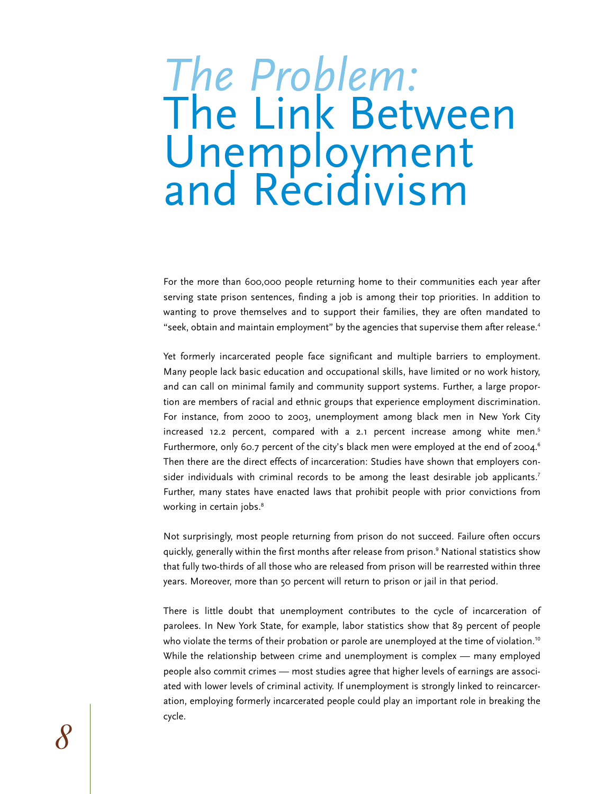### *The Problem:*  The Link Between Unemployment and Recidivism

For the more than 600,000 people returning home to their communities each year after serving state prison sentences, finding a job is among their top priorities. In addition to wanting to prove themselves and to support their families, they are often mandated to "seek, obtain and maintain employment" by the agencies that supervise them after release.<sup>4</sup>

Yet formerly incarcerated people face significant and multiple barriers to employment. Many people lack basic education and occupational skills, have limited or no work history, and can call on minimal family and community support systems. Further, a large proportion are members of racial and ethnic groups that experience employment discrimination. For instance, from 2000 to 2003, unemployment among black men in New York City increased 12.2 percent, compared with a 2.1 percent increase among white men.<sup>5</sup> Furthermore, only 60.7 percent of the city's black men were employed at the end of 2004.<sup>6</sup> Then there are the direct effects of incarceration: Studies have shown that employers consider individuals with criminal records to be among the least desirable job applicants.<sup>7</sup> Further, many states have enacted laws that prohibit people with prior convictions from working in certain jobs.<sup>8</sup>

Not surprisingly, most people returning from prison do not succeed. Failure often occurs quickly, generally within the first months after release from prison.<sup>9</sup> National statistics show that fully two-thirds of all those who are released from prison will be rearrested within three years. Moreover, more than 50 percent will return to prison or jail in that period.

There is little doubt that unemployment contributes to the cycle of incarceration of parolees. In New York State, for example, labor statistics show that 89 percent of people who violate the terms of their probation or parole are unemployed at the time of violation.<sup>10</sup> While the relationship between crime and unemployment is complex — many employed people also commit crimes — most studies agree that higher levels of earnings are associated with lower levels of criminal activity. If unemployment is strongly linked to reincarceration, employing formerly incarcerated people could play an important role in breaking the cycle.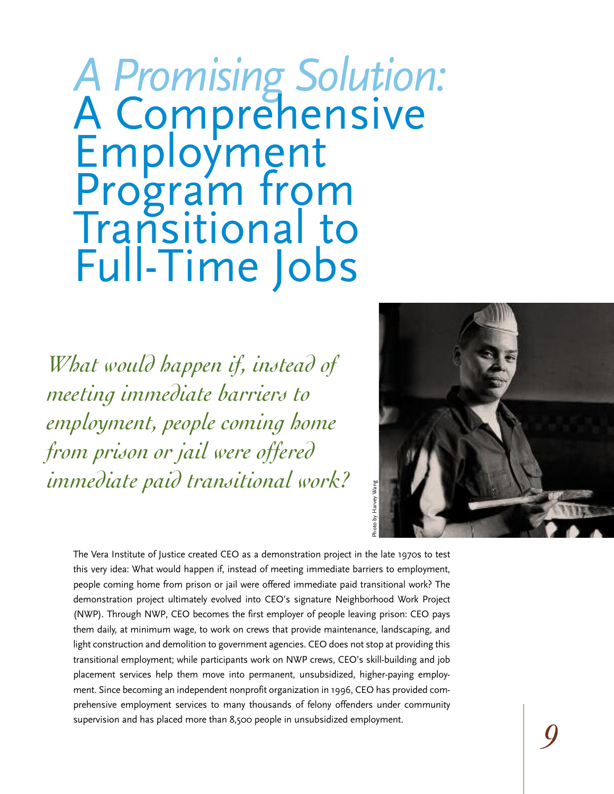## *A Promising Solution:* <sup>A</sup> Comprehensive Employment Program from Transitional to Full-Time Jobs

*What would happen if, instead of meeting immediate barriers to employment, people coming home from prison or jail were offered immediate paid transitional work?*



The Vera Institute of Justice created CEO as a demonstration project in the late 1970s to test this very idea: What would happen if, instead of meeting immediate barriers to employment, people coming home from prison or jail were offered immediate paid transitional work? The demonstration project ultimately evolved into CEO's signature Neighborhood Work Project (NWP). Through NWP, CEO becomes the first employer of people leaving prison: CEO pays them daily, at minimum wage, to work on crews that provide maintenance, landscaping, and light construction and demolition to government agencies. CEO does not stop at providing this transitional employment; while participants work on NWP crews, CEO's skill-building and job placement services help them move into permanent, unsubsidized, higher-paying employment. Since becoming an independent nonprofit organization in 1996, CEO has provided comprehensive employment services to many thousands of felony offenders under community supervision and has placed more than 8,500 people in unsubsidized employment.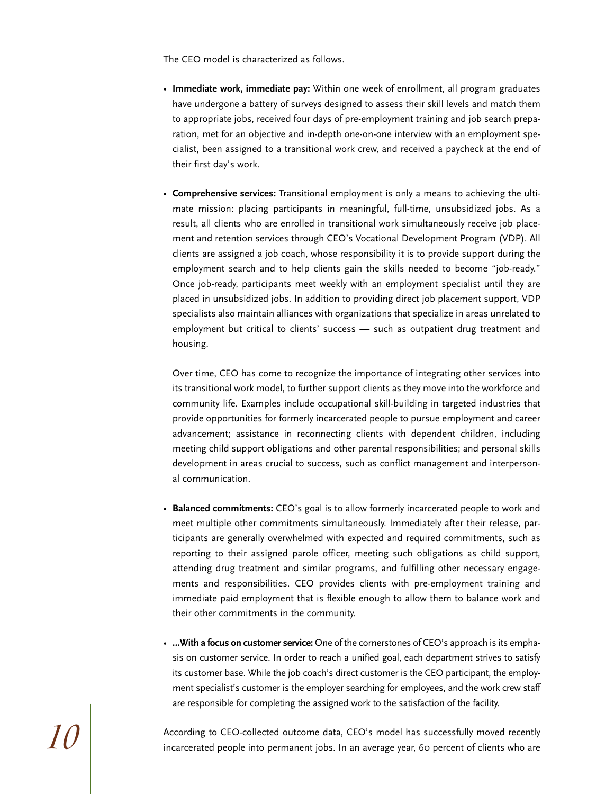The CEO model is characterized as follows.

- **Immediate work, immediate pay:** Within one week of enrollment, all program graduates have undergone a battery of surveys designed to assess their skill levels and match them to appropriate jobs, received four days of pre-employment training and job search preparation, met for an objective and in-depth one-on-one interview with an employment specialist, been assigned to a transitional work crew, and received a paycheck at the end of their first day's work.
- **Comprehensive services:** Transitional employment is only a means to achieving the ultimate mission: placing participants in meaningful, full-time, unsubsidized jobs. As a result, all clients who are enrolled in transitional work simultaneously receive job placement and retention services through CEO's Vocational Development Program (VDP). All clients are assigned a job coach, whose responsibility it is to provide support during the employment search and to help clients gain the skills needed to become "job-ready." Once job-ready, participants meet weekly with an employment specialist until they are placed in unsubsidized jobs. In addition to providing direct job placement support, VDP specialists also maintain alliances with organizations that specialize in areas unrelated to employment but critical to clients' success — such as outpatient drug treatment and housing.

Over time, CEO has come to recognize the importance of integrating other services into its transitional work model, to further support clients as they move into the workforce and community life. Examples include occupational skill-building in targeted industries that provide opportunities for formerly incarcerated people to pursue employment and career advancement; assistance in reconnecting clients with dependent children, including meeting child support obligations and other parental responsibilities; and personal skills development in areas crucial to success, such as conflict management and interpersonal communication.

- **Balanced commitments:** CEO's goal is to allow formerly incarcerated people to work and meet multiple other commitments simultaneously. Immediately after their release, participants are generally overwhelmed with expected and required commitments, such as reporting to their assigned parole officer, meeting such obligations as child support, attending drug treatment and similar programs, and fulfilling other necessary engagements and responsibilities. CEO provides clients with pre-employment training and immediate paid employment that is flexible enough to allow them to balance work and their other commitments in the community.
- **…With a focus on customer service:** One of the cornerstones of CEO's approach is its emphasis on customer service. In order to reach a unified goal, each department strives to satisfy its customer base. While the job coach's direct customer is the CEO participant, the employment specialist's customer is the employer searching for employees, and the work crew staff are responsible for completing the assigned work to the satisfaction of the facility.

According to CEO-collected outcome data, CEO's model has successfully moved recently<br>incarcerated people into permanent jobs. In an average year, 60 percent of clients who are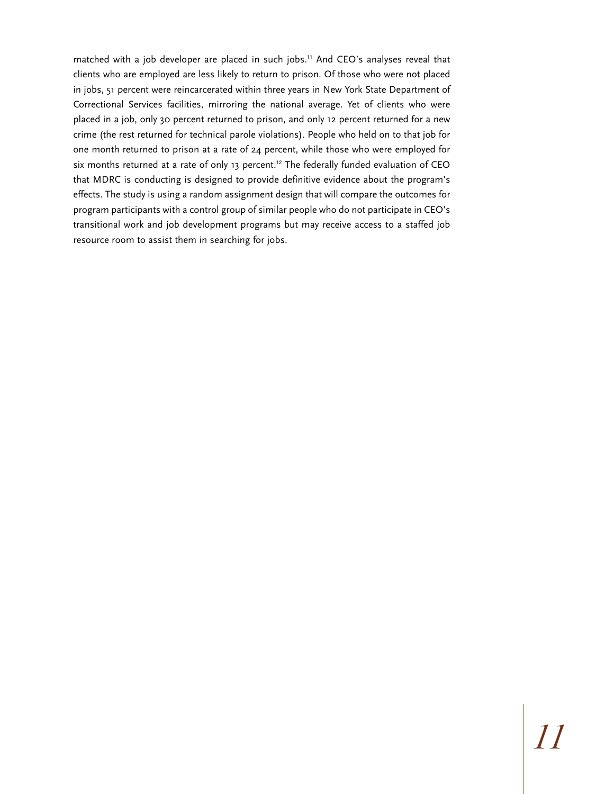matched with a job developer are placed in such jobs.<sup>11</sup> And CEO's analyses reveal that clients who are employed are less likely to return to prison. Of those who were not placed in jobs, 51 percent were reincarcerated within three years in New York State Department of Correctional Services facilities, mirroring the national average. Yet of clients who were placed in a job, only 30 percent returned to prison, and only 12 percent returned for a new crime (the rest returned for technical parole violations). People who held on to that job for one month returned to prison at a rate of 24 percent, while those who were employed for six months returned at a rate of only 13 percent.<sup>12</sup> The federally funded evaluation of CEO that MDRC is conducting is designed to provide definitive evidence about the program's effects. The study is using a random assignment design that will compare the outcomes for program participants with a control group of similar people who do not participate in CEO's transitional work and job development programs but may receive access to a staffed job resource room to assist them in searching for jobs.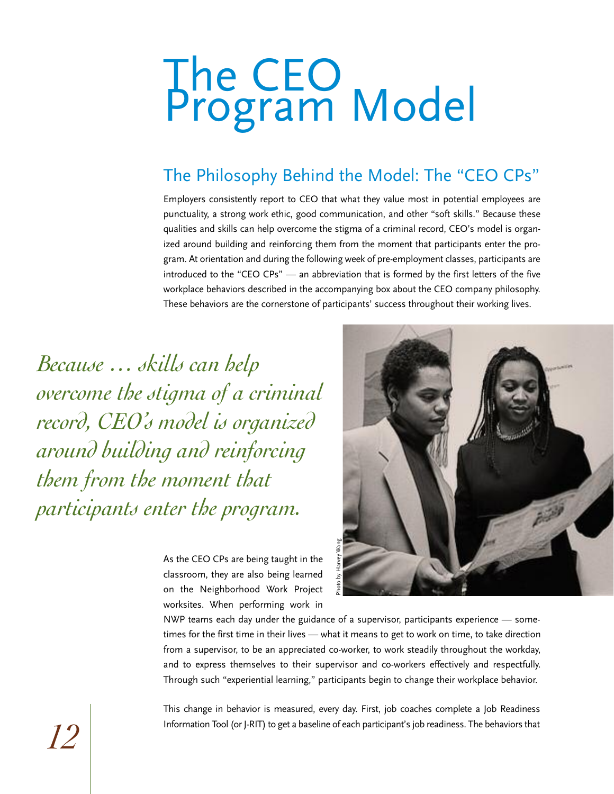# The CEO<br>Program Model

### The Philosophy Behind the Model: The "CEO CPs"

Employers consistently report to CEO that what they value most in potential employees are punctuality, a strong work ethic, good communication, and other "soft skills." Because these qualities and skills can help overcome the stigma of a criminal record, CEO's model is organized around building and reinforcing them from the moment that participants enter the program. At orientation and during the following week of pre-employment classes, participants are introduced to the "CEO CPs" — an abbreviation that is formed by the first letters of the five workplace behaviors described in the accompanying box about the CEO company philosophy. These behaviors are the cornerstone of participants' success throughout their working lives.

*Because … skills can help overcome the stigma of a criminal record, CEO's model is organized around building and reinforcing them from the moment that participants enter the program.*

> As the CEO CPs are being taught in the classroom, they are also being learned on the Neighborhood Work Project worksites. When performing work in



NWP teams each day under the guidance of a supervisor, participants experience — sometimes for the first time in their lives — what it means to get to work on time, to take direction from a supervisor, to be an appreciated co-worker, to work steadily throughout the workday, and to express themselves to their supervisor and co-workers effectively and respectfully. Through such "experiential learning," participants begin to change their workplace behavior.

This change in behavior is measured, every day. First, job coaches complete a Job Readiness Information Tool (or J-RIT) to get a baseline of each participant's job readiness. The behaviors that **12**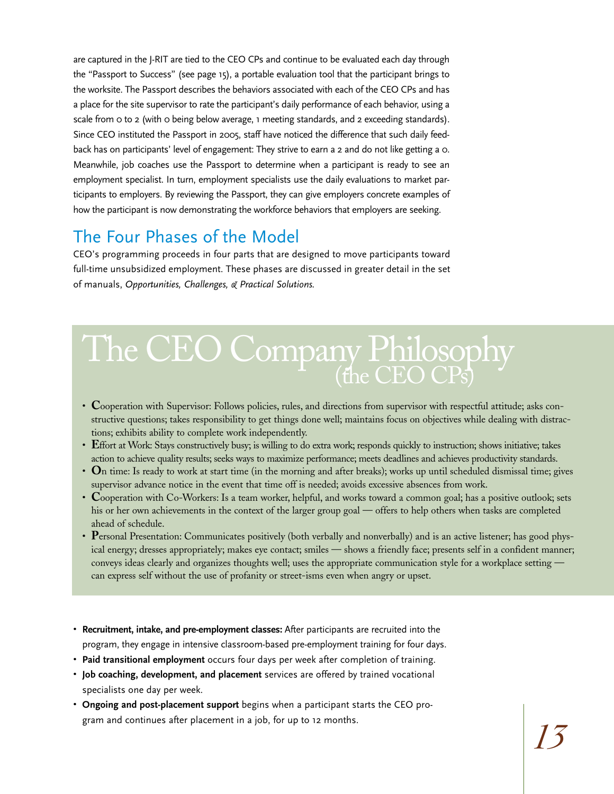are captured in the J-RIT are tied to the CEO CPs and continue to be evaluated each day through the "Passport to Success" (see page 15), a portable evaluation tool that the participant brings to the worksite. The Passport describes the behaviors associated with each of the CEO CPs and has a place for the site supervisor to rate the participant's daily performance of each behavior, using a scale from 0 to 2 (with 0 being below average, 1 meeting standards, and 2 exceeding standards). Since CEO instituted the Passport in 2005, staff have noticed the difference that such daily feedback has on participants' level of engagement: They strive to earn a 2 and do not like getting a 0. Meanwhile, job coaches use the Passport to determine when a participant is ready to see an employment specialist. In turn, employment specialists use the daily evaluations to market participants to employers. By reviewing the Passport, they can give employers concrete examples of how the participant is now demonstrating the workforce behaviors that employers are seeking.

### The Four Phases of the Model

CEO's programming proceeds in four parts that are designed to move participants toward full-time unsubsidized employment. These phases are discussed in greater detail in the set of manuals, *Opportunities, Challenges, & Practical Solutions.*

## The CEO Company Philosophy

- **C**ooperation with Supervisor: Follows policies, rules, and directions from supervisor with respectful attitude; asks constructive questions; takes responsibility to get things done well; maintains focus on objectives while dealing with distractions; exhibits ability to complete work independently.
- **E**ffort at Work: Stays constructively busy; is willing to do extra work; responds quickly to instruction; shows initiative; takes action to achieve quality results; seeks ways to maximize performance; meets deadlines and achieves productivity standards.
- **O**n time: Is ready to work at start time (in the morning and after breaks); works up until scheduled dismissal time; gives supervisor advance notice in the event that time off is needed; avoids excessive absences from work.
- **C**ooperation with Co-Workers: Is a team worker, helpful, and works toward a common goal; has a positive outlook; sets his or her own achievements in the context of the larger group goal — offers to help others when tasks are completed ahead of schedule.
- **P**ersonal Presentation: Communicates positively (both verbally and nonverbally) and is an active listener; has good physical energy; dresses appropriately; makes eye contact; smiles — shows a friendly face; presents self in a confident manner; conveys ideas clearly and organizes thoughts well; uses the appropriate communication style for a workplace setting can express self without the use of profanity or street-isms even when angry or upset.
- **Recruitment, intake, and pre-employment classes:** After participants are recruited into the program, they engage in intensive classroom-based pre-employment training for four days.
- **Paid transitional employment** occurs four days per week after completion of training.
- **Job coaching, development, and placement** services are offered by trained vocational specialists one day per week.
- **Ongoing and post-placement support** begins when a participant starts the CEO program and continues after placement in a job, for up to 12 months.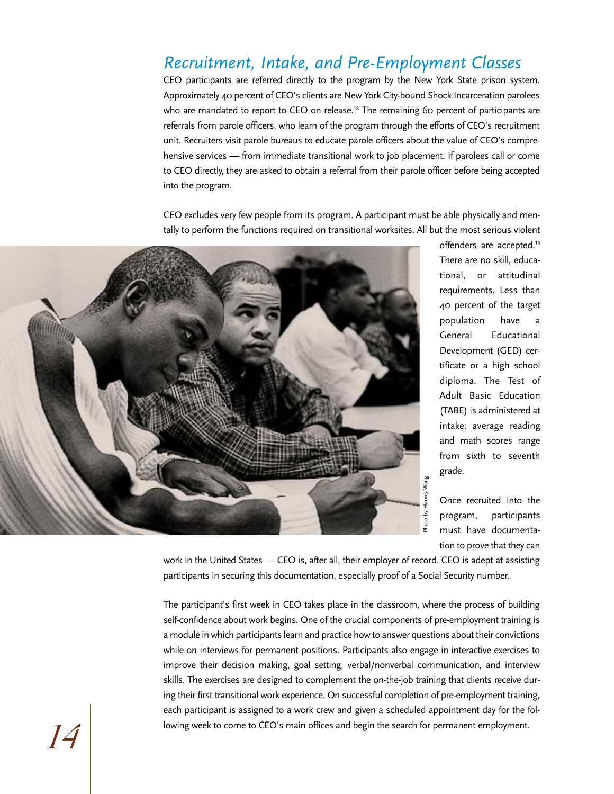### *Recruitment, Intake, and Pre-Employment Classes*

CEO participants are referred directly to the program by the New York State prison system. Approximately 40 percent of CEO's clients are New York City-bound Shock Incarceration parolees who are mandated to report to CEO on release.<sup>13</sup> The remaining 60 percent of participants are referrals from parole officers, who learn of the program through the efforts of CEO's recruitment unit. Recruiters visit parole bureaus to educate parole officers about the value of CEO's comprehensive services — from immediate transitional work to job placement. If parolees call or come to CEO directly, they are asked to obtain a referral from their parole officer before being accepted into the program.

CEO excludes very few people from its program. A participant must be able physically and mentally to perform the functions required on transitional worksites. All but the most serious violent



offenders are accepted.<sup>14</sup> There are no skill, educational, or attitudinal requirements. Less than 40 percent of the target population have a General Educational Development (GED) certificate or a high school diploma. The Test of Adult Basic Education (TABE) is administered at intake; average reading and math scores range from sixth to seventh grade.

Once recruited into the program, participants must have documentation to prove that they can

work in the United States — CEO is, after all, their employer of record. CEO is adept at assisting participants in securing this documentation, especially proof of a Social Security number.

The participant's first week in CEO takes place in the classroom, where the process of building self-confidence about work begins. One of the crucial components of pre-employment training is a module in which participants learn and practice how to answer questions about their convictions while on interviews for permanent positions. Participants also engage in interactive exercises to improve their decision making, goal setting, verbal/nonverbal communication, and interview skills. The exercises are designed to complement the on-the-job training that clients receive during their first transitional work experience. On successful completion of pre-employment training, each participant is assigned to a work crew and given a scheduled appointment day for the fol-**14** lowing week to come to CEO's main offices and begin the search for permanent employment.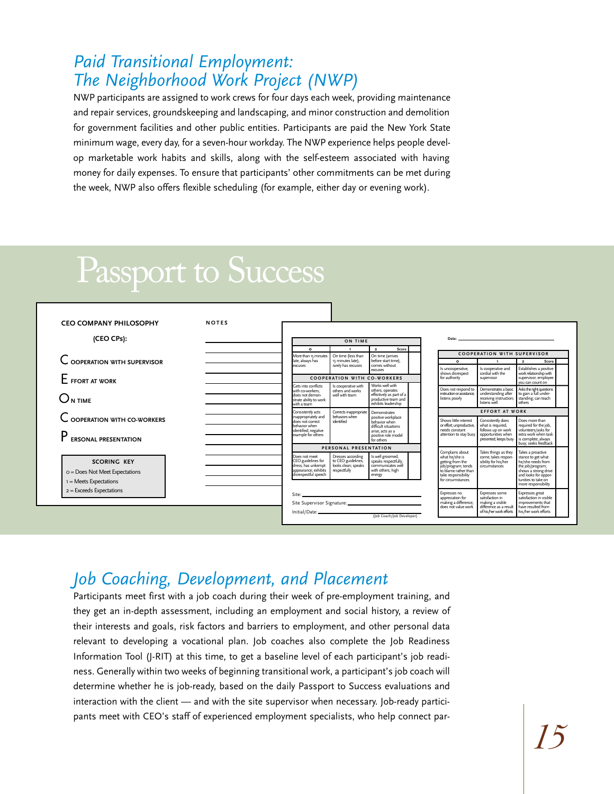### *Paid Transitional Employment: The Neighborhood Work Project (NWP)*

NWP participants are assigned to work crews for four days each week, providing maintenance and repair services, groundskeeping and landscaping, and minor construction and demolition for government facilities and other public entities. Participants are paid the New York State minimum wage, every day, for a seven-hour workday. The NWP experience helps people develop marketable work habits and skills, along with the self-esteem associated with having money for daily expenses. To ensure that participants' other commitments can be met during the week, NWP also offers flexible scheduling (for example, either day or evening work).

### Passport to Success



### *Job Coaching, Development, and Placement*

Participants meet first with a job coach during their week of pre-employment training, and they get an in-depth assessment, including an employment and social history, a review of their interests and goals, risk factors and barriers to employment, and other personal data relevant to developing a vocational plan. Job coaches also complete the Job Readiness Information Tool (J-RIT) at this time, to get a baseline level of each participant's job readiness. Generally within two weeks of beginning transitional work, a participant's job coach will determine whether he is job-ready, based on the daily Passport to Success evaluations and interaction with the client — and with the site supervisor when necessary. Job-ready participants meet with CEO's staff of experienced employment specialists, who help connect par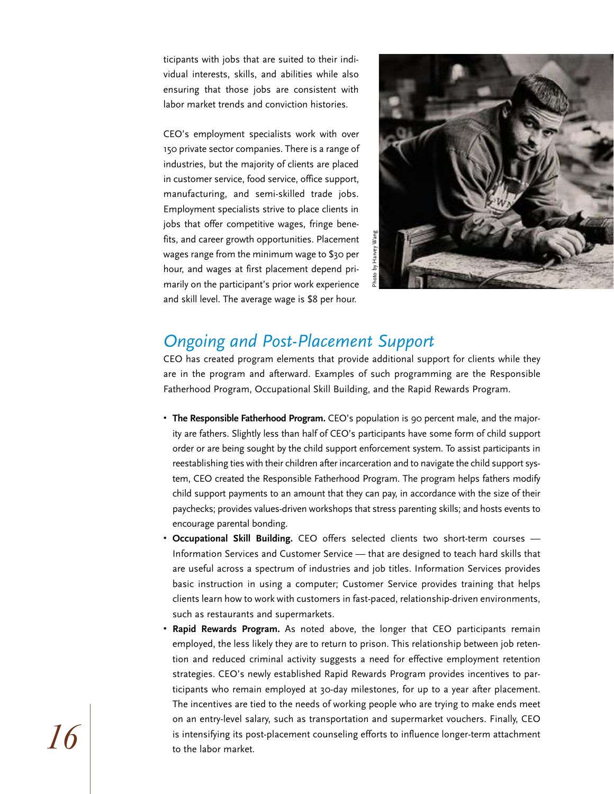ticipants with jobs that are suited to their individual interests, skills, and abilities while also ensuring that those jobs are consistent with labor market trends and conviction histories.

CEO's employment specialists work with over 150 private sector companies. There is a range of industries, but the majority of clients are placed in customer service, food service, office support, manufacturing, and semi-skilled trade jobs. Employment specialists strive to place clients in jobs that offer competitive wages, fringe benefits, and career growth opportunities. Placement wages range from the minimum wage to \$30 per hour, and wages at first placement depend primarily on the participant's prior work experience and skill level. The average wage is \$8 per hour.



### *Ongoing and Post-Placement Support*

CEO has created program elements that provide additional support for clients while they are in the program and afterward. Examples of such programming are the Responsible Fatherhood Program, Occupational Skill Building, and the Rapid Rewards Program.

- **The Responsible Fatherhood Program.** CEO's population is 90 percent male, and the majority are fathers. Slightly less than half of CEO's participants have some form of child support order or are being sought by the child support enforcement system. To assist participants in reestablishing ties with their children after incarceration and to navigate the child support system, CEO created the Responsible Fatherhood Program. The program helps fathers modify child support payments to an amount that they can pay, in accordance with the size of their paychecks; provides values-driven workshops that stress parenting skills; and hosts events to encourage parental bonding.
- **Occupational Skill Building.** CEO offers selected clients two short-term courses Information Services and Customer Service — that are designed to teach hard skills that are useful across a spectrum of industries and job titles. Information Services provides basic instruction in using a computer; Customer Service provides training that helps clients learn how to work with customers in fast-paced, relationship-driven environments, such as restaurants and supermarkets.
- **Rapid Rewards Program.** As noted above, the longer that CEO participants remain employed, the less likely they are to return to prison. This relationship between job retention and reduced criminal activity suggests a need for effective employment retention strategies. CEO's newly established Rapid Rewards Program provides incentives to participants who remain employed at 30-day milestones, for up to a year after placement. The incentives are tied to the needs of working people who are trying to make ends meet on an entry-level salary, such as transportation and supermarket vouchers. Finally, CEO  $\left| {\left| 6} \right| \right|$  is intensifying its post-placement counseling efforts to influence longer-term attachment  $\,$  to the labor market.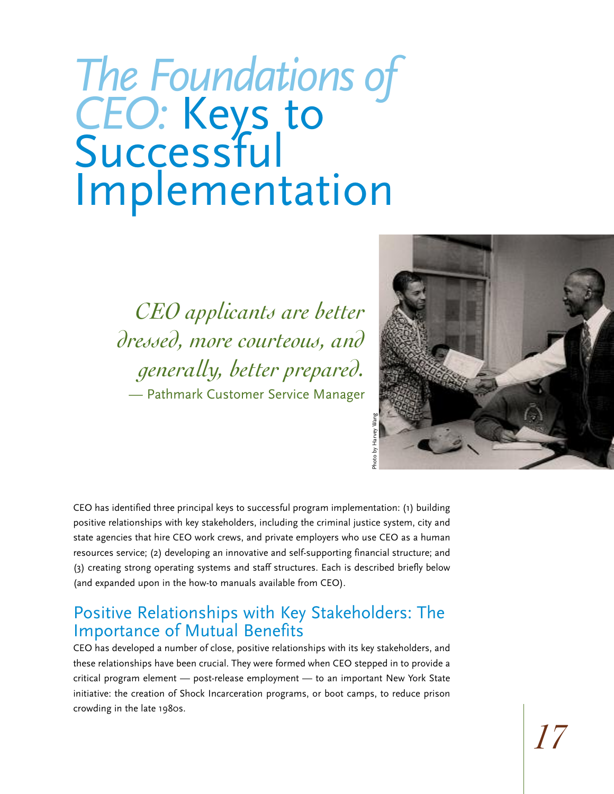## *The Foundations of CEO:* Keys to Successful Implementation

*CEO applicants are better dressed, more courteous, and generally, better prepared.* — Pathmark Customer Service Manager



CEO has identified three principal keys to successful program implementation: (1) building positive relationships with key stakeholders, including the criminal justice system, city and state agencies that hire CEO work crews, and private employers who use CEO as a human resources service; (2) developing an innovative and self-supporting financial structure; and (3) creating strong operating systems and staff structures. Each is described briefly below (and expanded upon in the how-to manuals available from CEO).

### Positive Relationships with Key Stakeholders: The Importance of Mutual Benefits

CEO has developed a number of close, positive relationships with its key stakeholders, and these relationships have been crucial. They were formed when CEO stepped in to provide a critical program element — post-release employment — to an important New York State initiative: the creation of Shock Incarceration programs, or boot camps, to reduce prison crowding in the late 1980s.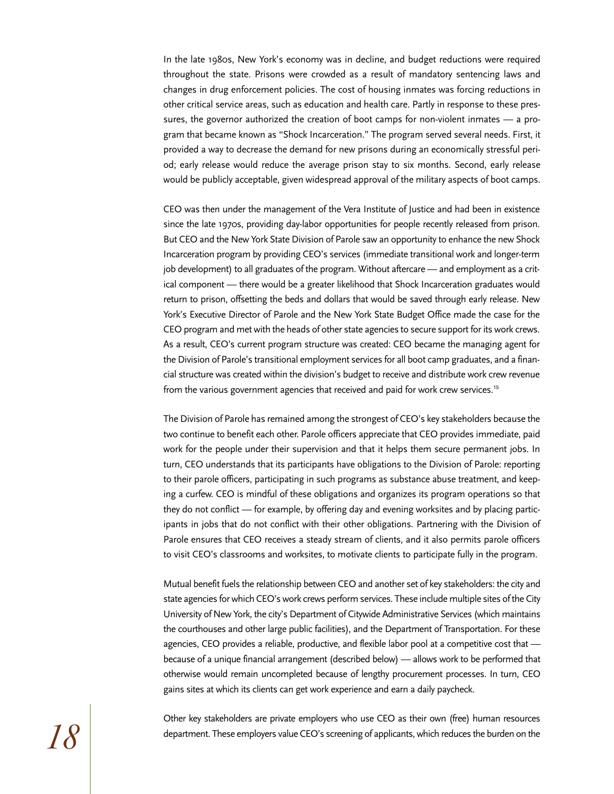In the late 1980s, New York's economy was in decline, and budget reductions were required throughout the state. Prisons were crowded as a result of mandatory sentencing laws and changes in drug enforcement policies. The cost of housing inmates was forcing reductions in other critical service areas, such as education and health care. Partly in response to these pressures, the governor authorized the creation of boot camps for non-violent inmates — a program that became known as "Shock Incarceration." The program served several needs. First, it provided a way to decrease the demand for new prisons during an economically stressful period; early release would reduce the average prison stay to six months. Second, early release would be publicly acceptable, given widespread approval of the military aspects of boot camps.

CEO was then under the management of the Vera Institute of Justice and had been in existence since the late 1970s, providing day-labor opportunities for people recently released from prison. But CEO and the New York State Division of Parole saw an opportunity to enhance the new Shock Incarceration program by providing CEO's services (immediate transitional work and longer-term job development) to all graduates of the program. Without aftercare — and employment as a critical component — there would be a greater likelihood that Shock Incarceration graduates would return to prison, offsetting the beds and dollars that would be saved through early release. New York's Executive Director of Parole and the New York State Budget Office made the case for the CEO program and met with the heads of other state agencies to secure support for its work crews. As a result, CEO's current program structure was created: CEO became the managing agent for the Division of Parole's transitional employment services for all boot camp graduates, and a financial structure was created within the division's budget to receive and distribute work crew revenue from the various government agencies that received and paid for work crew services.<sup>15</sup>

The Division of Parole has remained among the strongest of CEO's key stakeholders because the two continue to benefit each other. Parole officers appreciate that CEO provides immediate, paid work for the people under their supervision and that it helps them secure permanent jobs. In turn, CEO understands that its participants have obligations to the Division of Parole: reporting to their parole officers, participating in such programs as substance abuse treatment, and keeping a curfew. CEO is mindful of these obligations and organizes its program operations so that they do not conflict — for example, by offering day and evening worksites and by placing participants in jobs that do not conflict with their other obligations. Partnering with the Division of Parole ensures that CEO receives a steady stream of clients, and it also permits parole officers to visit CEO's classrooms and worksites, to motivate clients to participate fully in the program.

Mutual benefit fuels the relationship between CEO and another set of key stakeholders: the city and state agencies for which CEO's work crews perform services. These include multiple sites of the City University of New York, the city's Department of Citywide Administrative Services (which maintains the courthouses and other large public facilities), and the Department of Transportation. For these agencies, CEO provides a reliable, productive, and flexible labor pool at a competitive cost that because of a unique financial arrangement (described below) — allows work to be performed that otherwise would remain uncompleted because of lengthy procurement processes. In turn, CEO gains sites at which its clients can get work experience and earn a daily paycheck.

Other key stakeholders are private employers who use CEO as their own (free) human resources  $\mathcal{P}$  department. These employers value CEO's screening of applicants, which reduces the burden on the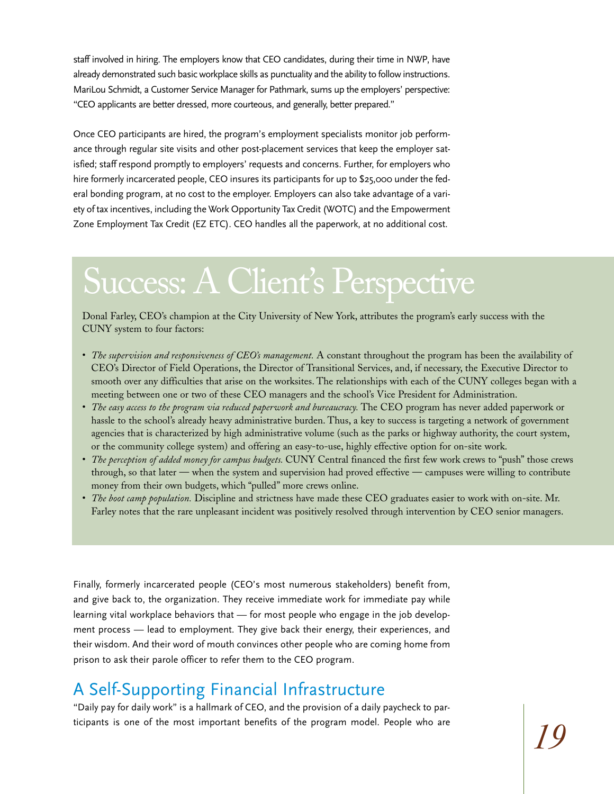staff involved in hiring. The employers know that CEO candidates, during their time in NWP, have already demonstrated such basic workplace skills as punctuality and the ability to follow instructions. MariLou Schmidt, a Customer Service Manager for Pathmark, sums up the employers' perspective: "CEO applicants are better dressed, more courteous, and generally, better prepared."

Once CEO participants are hired, the program's employment specialists monitor job performance through regular site visits and other post-placement services that keep the employer satisfied; staff respond promptly to employers' requests and concerns. Further, for employers who hire formerly incarcerated people, CEO insures its participants for up to \$25,000 under the federal bonding program, at no cost to the employer. Employers can also take advantage of a variety of tax incentives, including the Work Opportunity Tax Credit (WOTC) and the Empowerment Zone Employment Tax Credit (EZ ETC). CEO handles all the paperwork, at no additional cost.

### Success: A Client's Perspective

Donal Farley, CEO's champion at the City University of New York, attributes the program's early success with the CUNY system to four factors:

- *The supervision and responsiveness of CEO's management.* A constant throughout the program has been the availability of CEO's Director of Field Operations, the Director of Transitional Services, and, if necessary, the Executive Director to smooth over any difficulties that arise on the worksites. The relationships with each of the CUNY colleges began with a meeting between one or two of these CEO managers and the school's Vice President for Administration.
- *The easy access to the program via reduced paperwork and bureaucracy.* The CEO program has never added paperwork or hassle to the school's already heavy administrative burden. Thus, a key to success is targeting a network of government agencies that is characterized by high administrative volume (such as the parks or highway authority, the court system, or the community college system) and offering an easy-to-use, highly effective option for on-site work.
- *The perception of added money for campus budgets.* CUNY Central financed the first few work crews to "push" those crews through, so that later — when the system and supervision had proved effective — campuses were willing to contribute money from their own budgets, which "pulled" more crews online.
- *The boot camp population.* Discipline and strictness have made these CEO graduates easier to work with on-site. Mr. Farley notes that the rare unpleasant incident was positively resolved through intervention by CEO senior managers.

Finally, formerly incarcerated people (CEO's most numerous stakeholders) benefit from, and give back to, the organization. They receive immediate work for immediate pay while learning vital workplace behaviors that — for most people who engage in the job development process — lead to employment. They give back their energy, their experiences, and their wisdom. And their word of mouth convinces other people who are coming home from prison to ask their parole officer to refer them to the CEO program.

### A Self-Supporting Financial Infrastructure

"Daily pay for daily work" is a hallmark of CEO, and the provision of a daily paycheck to participants is one of the most important benefits of the program model. People who are *19*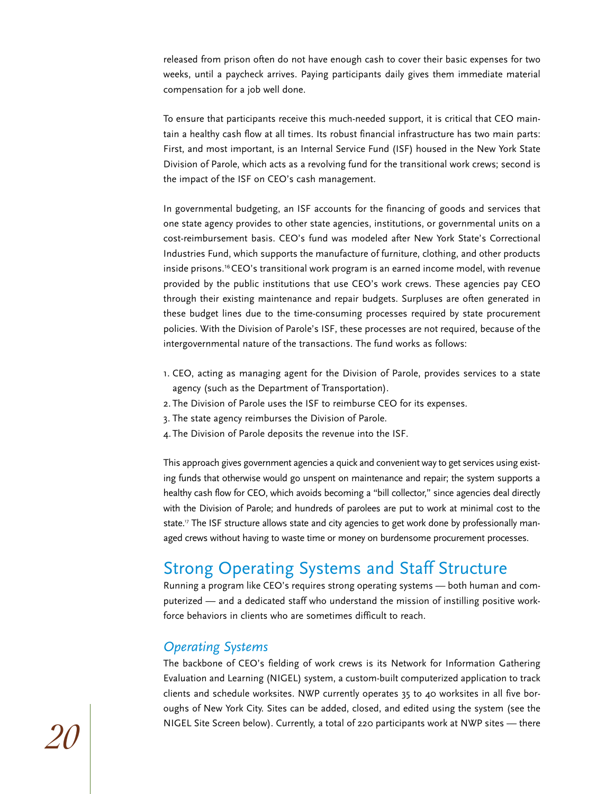released from prison often do not have enough cash to cover their basic expenses for two weeks, until a paycheck arrives. Paying participants daily gives them immediate material compensation for a job well done.

To ensure that participants receive this much-needed support, it is critical that CEO maintain a healthy cash flow at all times. Its robust financial infrastructure has two main parts: First, and most important, is an Internal Service Fund (ISF) housed in the New York State Division of Parole, which acts as a revolving fund for the transitional work crews; second is the impact of the ISF on CEO's cash management.

In governmental budgeting, an ISF accounts for the financing of goods and services that one state agency provides to other state agencies, institutions, or governmental units on a cost-reimbursement basis. CEO's fund was modeled after New York State's Correctional Industries Fund, which supports the manufacture of furniture, clothing, and other products inside prisons.16 CEO's transitional work program is an earned income model, with revenue provided by the public institutions that use CEO's work crews. These agencies pay CEO through their existing maintenance and repair budgets. Surpluses are often generated in these budget lines due to the time-consuming processes required by state procurement policies. With the Division of Parole's ISF, these processes are not required, because of the intergovernmental nature of the transactions. The fund works as follows:

- 1. CEO, acting as managing agent for the Division of Parole, provides services to a state agency (such as the Department of Transportation).
- 2. The Division of Parole uses the ISF to reimburse CEO for its expenses.
- 3. The state agency reimburses the Division of Parole.
- 4.The Division of Parole deposits the revenue into the ISF.

This approach gives government agencies a quick and convenient way to get services using existing funds that otherwise would go unspent on maintenance and repair; the system supports a healthy cash flow for CEO, which avoids becoming a "bill collector," since agencies deal directly with the Division of Parole; and hundreds of parolees are put to work at minimal cost to the state.<sup>17</sup> The ISF structure allows state and city agencies to get work done by professionally managed crews without having to waste time or money on burdensome procurement processes.

### Strong Operating Systems and Staff Structure

Running a program like CEO's requires strong operating systems — both human and computerized — and a dedicated staff who understand the mission of instilling positive workforce behaviors in clients who are sometimes difficult to reach.

#### *Operating Systems*

The backbone of CEO's fielding of work crews is its Network for Information Gathering Evaluation and Learning (NIGEL) system, a custom-built computerized application to track clients and schedule worksites. NWP currently operates 35 to 40 worksites in all five boroughs of New York City. Sites can be added, closed, and edited using the system (see the NIGEL Site Screen below). Currently, a total of 220 participants work at NWP sites — there *20*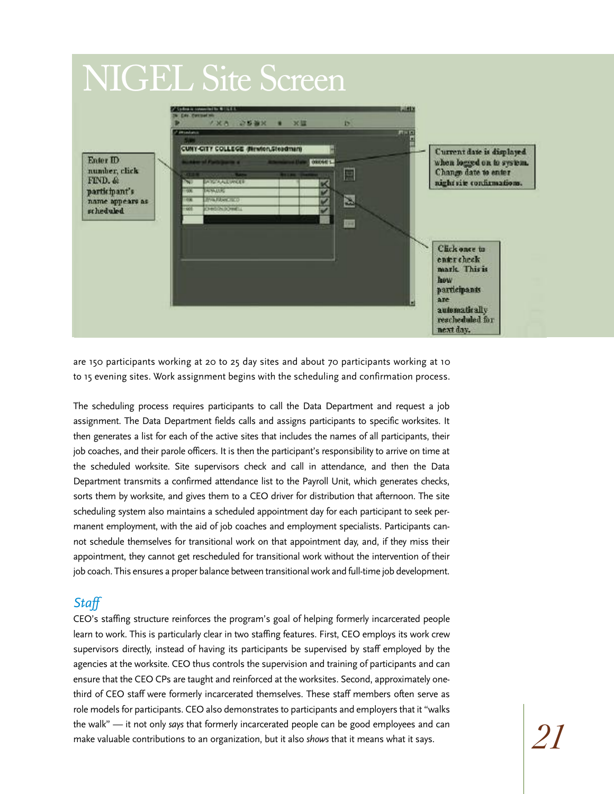### NIGEL Site Screen



are 150 participants working at 20 to 25 day sites and about 70 participants working at 10 to 15 evening sites. Work assignment begins with the scheduling and confirmation process.

The scheduling process requires participants to call the Data Department and request a job assignment. The Data Department fields calls and assigns participants to specific worksites. It then generates a list for each of the active sites that includes the names of all participants, their job coaches, and their parole officers. It is then the participant's responsibility to arrive on time at the scheduled worksite. Site supervisors check and call in attendance, and then the Data Department transmits a confirmed attendance list to the Payroll Unit, which generates checks, sorts them by worksite, and gives them to a CEO driver for distribution that afternoon. The site scheduling system also maintains a scheduled appointment day for each participant to seek permanent employment, with the aid of job coaches and employment specialists. Participants cannot schedule themselves for transitional work on that appointment day, and, if they miss their appointment, they cannot get rescheduled for transitional work without the intervention of their job coach. This ensures a proper balance between transitional work and full-time job development.

#### *Staff*

CEO's staffing structure reinforces the program's goal of helping formerly incarcerated people learn to work. This is particularly clear in two staffing features. First, CEO employs its work crew supervisors directly, instead of having its participants be supervised by staff employed by the agencies at the worksite. CEO thus controls the supervision and training of participants and can ensure that the CEO CPs are taught and reinforced at the worksites. Second, approximately onethird of CEO staff were formerly incarcerated themselves. These staff members often serve as role models for participants. CEO also demonstrates to participants and employers that it "walks the walk" — it not only *says* that formerly incarcerated people can be good employees and can make valuable contributions to an organization, but it also *shows* that it means what it says.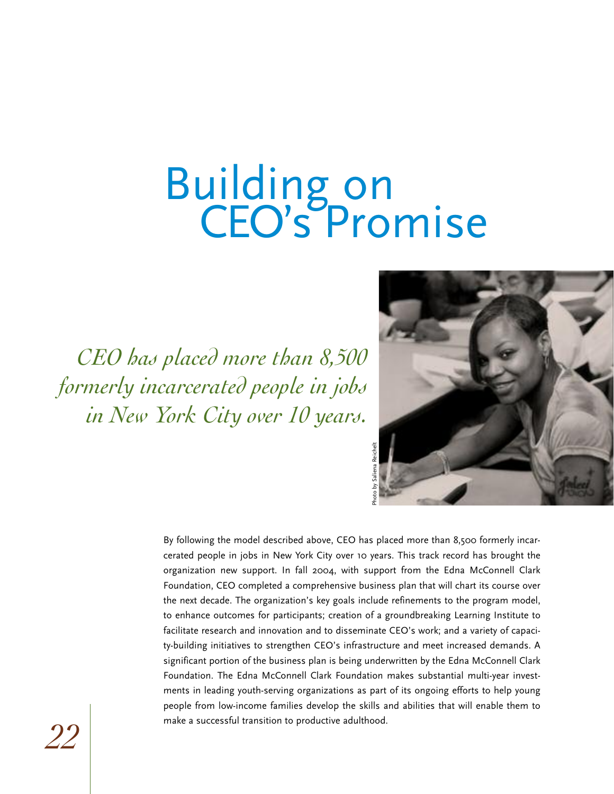## Building on CEO's Promise

*CEO has placed more than 8,500 formerly incarcerated people in jobs in New York City over 10 years.*



By following the model described above, CEO has placed more than 8,500 formerly incarcerated people in jobs in New York City over 10 years. This track record has brought the organization new support. In fall 2004, with support from the Edna McConnell Clark Foundation, CEO completed a comprehensive business plan that will chart its course over the next decade. The organization's key goals include refinements to the program model, to enhance outcomes for participants; creation of a groundbreaking Learning Institute to facilitate research and innovation and to disseminate CEO's work; and a variety of capacity-building initiatives to strengthen CEO's infrastructure and meet increased demands. A significant portion of the business plan is being underwritten by the Edna McConnell Clark Foundation. The Edna McConnell Clark Foundation makes substantial multi-year investments in leading youth-serving organizations as part of its ongoing efforts to help young people from low-income families develop the skills and abilities that will enable them to make a successful transition to productive adulthood.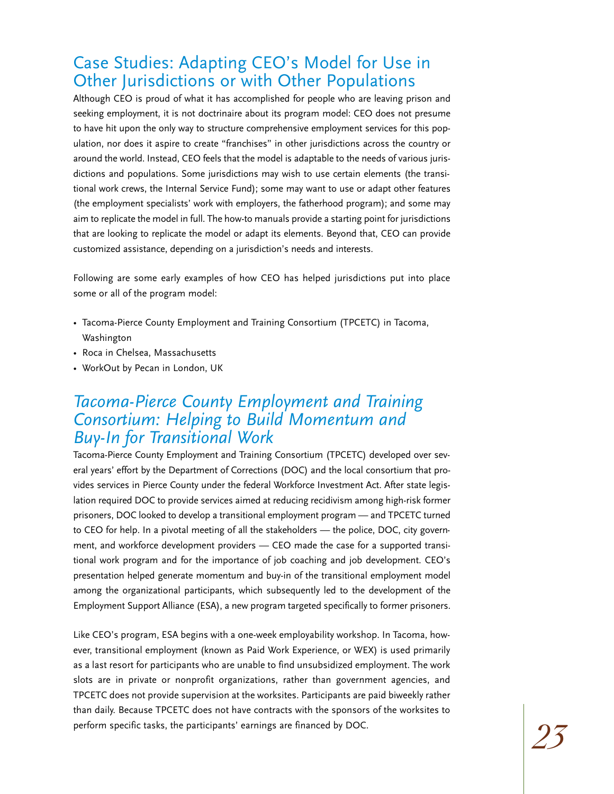### Case Studies: Adapting CEO's Model for Use in Other Jurisdictions or with Other Populations

Although CEO is proud of what it has accomplished for people who are leaving prison and seeking employment, it is not doctrinaire about its program model: CEO does not presume to have hit upon the only way to structure comprehensive employment services for this population, nor does it aspire to create "franchises" in other jurisdictions across the country or around the world. Instead, CEO feels that the model is adaptable to the needs of various jurisdictions and populations. Some jurisdictions may wish to use certain elements (the transitional work crews, the Internal Service Fund); some may want to use or adapt other features (the employment specialists' work with employers, the fatherhood program); and some may aim to replicate the model in full. The how-to manuals provide a starting point for jurisdictions that are looking to replicate the model or adapt its elements. Beyond that, CEO can provide customized assistance, depending on a jurisdiction's needs and interests.

Following are some early examples of how CEO has helped jurisdictions put into place some or all of the program model:

- Tacoma-Pierce County Employment and Training Consortium (TPCETC) in Tacoma, Washington
- Roca in Chelsea, Massachusetts
- WorkOut by Pecan in London, UK

#### *Tacoma-Pierce County Employment and Training Consortium: Helping to Build Momentum and Buy-In for Transitional Work*

Tacoma-Pierce County Employment and Training Consortium (TPCETC) developed over several years' effort by the Department of Corrections (DOC) and the local consortium that provides services in Pierce County under the federal Workforce Investment Act. After state legislation required DOC to provide services aimed at reducing recidivism among high-risk former prisoners, DOC looked to develop a transitional employment program — and TPCETC turned to CEO for help. In a pivotal meeting of all the stakeholders — the police, DOC, city government, and workforce development providers — CEO made the case for a supported transitional work program and for the importance of job coaching and job development. CEO's presentation helped generate momentum and buy-in of the transitional employment model among the organizational participants, which subsequently led to the development of the Employment Support Alliance (ESA), a new program targeted specifically to former prisoners.

Like CEO's program, ESA begins with a one-week employability workshop. In Tacoma, however, transitional employment (known as Paid Work Experience, or WEX) is used primarily as a last resort for participants who are unable to find unsubsidized employment. The work slots are in private or nonprofit organizations, rather than government agencies, and TPCETC does not provide supervision at the worksites. Participants are paid biweekly rather than daily. Because TPCETC does not have contracts with the sponsors of the worksites to perform specific tasks, the participants' earnings are financed by DOC. *23*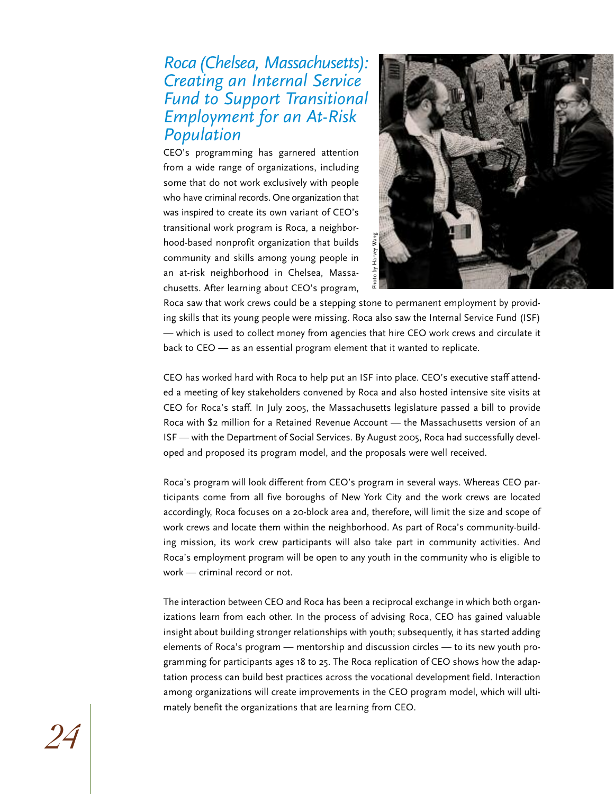#### *Roca(Chelsea, Massachusetts): Creating an Internal Service Fund to Support Transitional Employment for an At-Risk Population*

CEO's programming has garnered attention from a wide range of organizations, including some that do not work exclusively with people who have criminal records. One organization that was inspired to create its own variant of CEO's transitional work program is Roca, a neighborhood-based nonprofit organization that builds community and skills among young people in an at-risk neighborhood in Chelsea, Massachusetts. After learning about CEO's program,



Roca saw that work crews could be a stepping stone to permanent employment by providing skills that its young people were missing. Roca also saw the Internal Service Fund (ISF) — which is used to collect money from agencies that hire CEO work crews and circulate it back to CEO — as an essential program element that it wanted to replicate.

CEO has worked hard with Roca to help put an ISF into place. CEO's executive staff attended a meeting of key stakeholders convened by Roca and also hosted intensive site visits at CEO for Roca's staff. In July 2005, the Massachusetts legislature passed a bill to provide Roca with \$2 million for a Retained Revenue Account — the Massachusetts version of an ISF — with the Department of Social Services. By August 2005, Roca had successfully developed and proposed its program model, and the proposals were well received.

Roca's program will look different from CEO's program in several ways. Whereas CEO participants come from all five boroughs of New York City and the work crews are located accordingly, Roca focuses on a 20-block area and, therefore, will limit the size and scope of work crews and locate them within the neighborhood. As part of Roca's community-building mission, its work crew participants will also take part in community activities. And Roca's employment program will be open to any youth in the community who is eligible to work — criminal record or not.

The interaction between CEO and Roca has been a reciprocal exchange in which both organizations learn from each other. In the process of advising Roca, CEO has gained valuable insight about building stronger relationships with youth; subsequently, it has started adding elements of Roca's program — mentorship and discussion circles — to its new youth programming for participants ages 18 to 25. The Roca replication of CEO shows how the adaptation process can build best practices across the vocational development field. Interaction among organizations will create improvements in the CEO program model, which will ultimately benefit the organizations that are learning from CEO.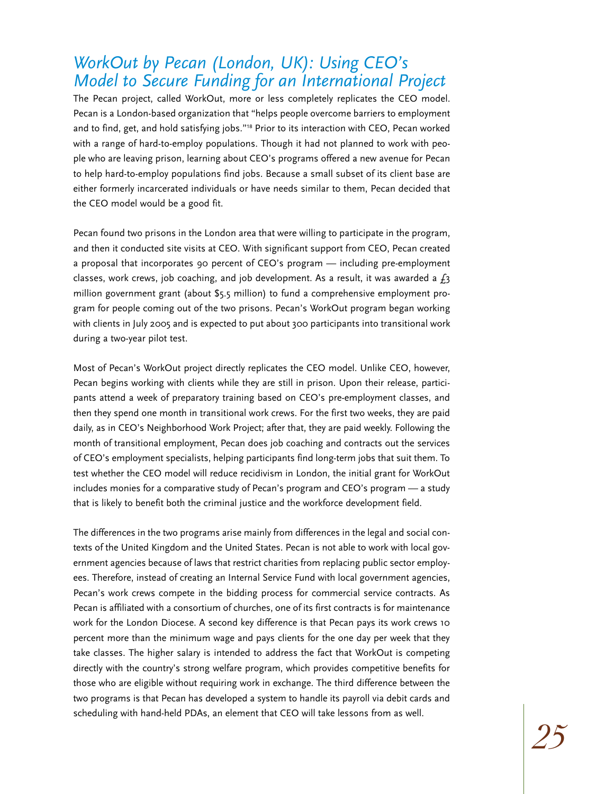### *WorkOut by Pecan (London, UK): Using CEO's Model to Secure Funding for an International Project*

The Pecan project, called WorkOut, more or less completely replicates the CEO model. Pecan is a London-based organization that "helps people overcome barriers to employment and to find, get, and hold satisfying jobs."<sup>18</sup> Prior to its interaction with CEO, Pecan worked with a range of hard-to-employ populations. Though it had not planned to work with people who are leaving prison, learning about CEO's programs offered a new avenue for Pecan to help hard-to-employ populations find jobs. Because a small subset of its client base are either formerly incarcerated individuals or have needs similar to them, Pecan decided that the CEO model would be a good fit.

Pecan found two prisons in the London area that were willing to participate in the program, and then it conducted site visits at CEO. With significant support from CEO, Pecan created a proposal that incorporates 90 percent of CEO's program — including pre-employment classes, work crews, job coaching, and job development. As a result, it was awarded a  $f_3$ million government grant (about \$5.5 million) to fund a comprehensive employment program for people coming out of the two prisons. Pecan's WorkOut program began working with clients in July 2005 and is expected to put about 300 participants into transitional work during a two-year pilot test.

Most of Pecan's WorkOut project directly replicates the CEO model. Unlike CEO, however, Pecan begins working with clients while they are still in prison. Upon their release, participants attend a week of preparatory training based on CEO's pre-employment classes, and then they spend one month in transitional work crews. For the first two weeks, they are paid daily, as in CEO's Neighborhood Work Project; after that, they are paid weekly. Following the month of transitional employment, Pecan does job coaching and contracts out the services of CEO's employment specialists, helping participants find long-term jobs that suit them. To test whether the CEO model will reduce recidivism in London, the initial grant for WorkOut includes monies for a comparative study of Pecan's program and CEO's program — a study that is likely to benefit both the criminal justice and the workforce development field.

The differences in the two programs arise mainly from differences in the legal and social contexts of the United Kingdom and the United States. Pecan is not able to work with local government agencies because of laws that restrict charities from replacing public sector employees. Therefore, instead of creating an Internal Service Fund with local government agencies, Pecan's work crews compete in the bidding process for commercial service contracts. As Pecan is affiliated with a consortium of churches, one of its first contracts is for maintenance work for the London Diocese. A second key difference is that Pecan pays its work crews 10 percent more than the minimum wage and pays clients for the one day per week that they take classes. The higher salary is intended to address the fact that WorkOut is competing directly with the country's strong welfare program, which provides competitive benefits for those who are eligible without requiring work in exchange. The third difference between the two programs is that Pecan has developed a system to handle its payroll via debit cards and scheduling with hand-held PDAs, an element that CEO will take lessons from as well.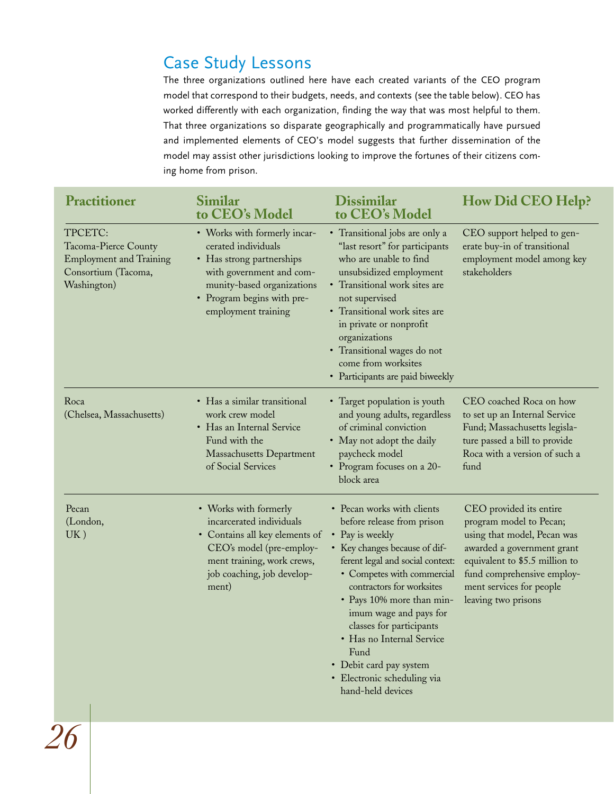### Case Study Lessons

The three organizations outlined here have each created variants of the CEO program model that correspond to their budgets, needs, and contexts (see the table below). CEO has worked differently with each organization, finding the way that was most helpful to them. That three organizations so disparate geographically and programmatically have pursued and implemented elements of CEO's model suggests that further dissemination of the model may assist other jurisdictions looking to improve the fortunes of their citizens coming home from prison.

| <b>Practitioner</b>                                                                                     | Similar<br>to CEO's Model                                                                                                                                                                       | <b>Dissimilar</b><br>to CEO's Model                                                                                                                                                                                                                                                                                                                                                                              | <b>How Did CEO Help?</b>                                                                                                                                                                                                           |
|---------------------------------------------------------------------------------------------------------|-------------------------------------------------------------------------------------------------------------------------------------------------------------------------------------------------|------------------------------------------------------------------------------------------------------------------------------------------------------------------------------------------------------------------------------------------------------------------------------------------------------------------------------------------------------------------------------------------------------------------|------------------------------------------------------------------------------------------------------------------------------------------------------------------------------------------------------------------------------------|
| TPCETC:<br>Tacoma-Pierce County<br><b>Employment and Training</b><br>Consortium (Tacoma,<br>Washington) | • Works with formerly incar-<br>cerated individuals<br>• Has strong partnerships<br>with government and com-<br>munity-based organizations<br>• Program begins with pre-<br>employment training | • Transitional jobs are only a<br>"last resort" for participants<br>who are unable to find<br>unsubsidized employment<br>• Transitional work sites are<br>not supervised<br>• Transitional work sites are<br>in private or nonprofit<br>organizations<br>• Transitional wages do not<br>come from worksites<br>• Participants are paid biweekly                                                                  | CEO support helped to gen-<br>erate buy-in of transitional<br>employment model among key<br>stakeholders                                                                                                                           |
| Roca<br>(Chelsea, Massachusetts)                                                                        | • Has a similar transitional<br>work crew model<br>• Has an Internal Service<br>Fund with the<br>Massachusetts Department<br>of Social Services                                                 | • Target population is youth<br>and young adults, regardless<br>of criminal conviction<br>• May not adopt the daily<br>paycheck model<br>• Program focuses on a 20-<br>block area                                                                                                                                                                                                                                | CEO coached Roca on how<br>to set up an Internal Service<br>Fund; Massachusetts legisla-<br>ture passed a bill to provide<br>Roca with a version of such a<br>fund                                                                 |
| Pecan<br>(London,<br>UK)                                                                                | • Works with formerly<br>incarcerated individuals<br>• Contains all key elements of<br>CEO's model (pre-employ-<br>ment training, work crews,<br>job coaching, job develop-<br>ment)            | • Pecan works with clients<br>before release from prison<br>• Pay is weekly<br>• Key changes because of dif-<br>ferent legal and social context:<br>• Competes with commercial<br>contractors for worksites<br>• Pays 10% more than min-<br>imum wage and pays for<br>classes for participants<br>Has no Internal Service<br>Fund<br>• Debit card pay system<br>· Electronic scheduling via<br>hand-held devices | CEO provided its entire<br>program model to Pecan;<br>using that model, Pecan was<br>awarded a government grant<br>equivalent to \$5.5 million to<br>fund comprehensive employ-<br>ment services for people<br>leaving two prisons |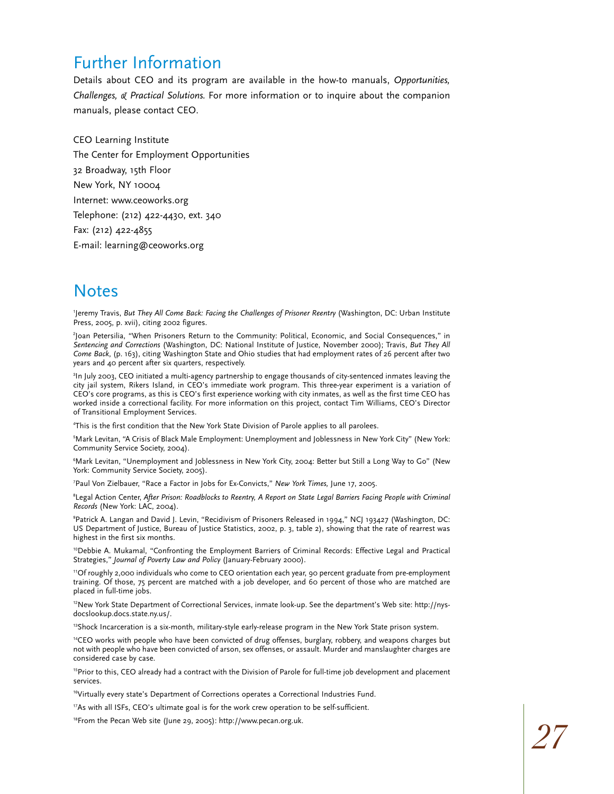### Further Information

Details about CEO and its program are available in the how-to manuals, *Opportunities, Challenges, & Practical Solutions.* For more information or to inquire about the companion manuals, please contact CEO.

CEO Learning Institute The Center for Employment Opportunities 32 Broadway, 15th Floor New York, NY 10004 Internet: www.ceoworks.org Telephone: (212) 422-4430, ext. 340 Fax: (212) 422-4855 E-mail: learning@ceoworks.org

### **Notes**

1 Jeremy Travis, *But They All Come Back: Facing the Challenges of Prisoner Reentry* (Washington, DC: Urban Institute Press, 2005, p. xvii), citing 2002 figures.

2 Joan Petersilia, "When Prisoners Return to the Community: Political, Economic, and Social Consequences," in *Sentencing and Corrections* (Washington, DC: National Institute of Justice, November 2000); Travis, *But They All Come Back*, (p. 163), citing Washington State and Ohio studies that had employment rates of 26 percent after two years and 40 percent after six quarters, respectively.

3 In July 2003, CEO initiated a multi-agency partnership to engage thousands of city-sentenced inmates leaving the city jail system, Rikers Island, in CEO's immediate work program. This three-year experiment is a variation of CEO's core programs, as this is CEO's first experience working with city inmates, as well as the first time CEO has worked inside a correctional facility. For more information on this project, contact Tim Williams, CEO's Director of Transitional Employment Services.

4 This is the first condition that the New York State Division of Parole applies to all parolees.

5 Mark Levitan, "A Crisis of Black Male Employment: Unemployment and Joblessness in New York City" (New York: Community Service Society, 2004).

6 Mark Levitan, "Unemployment and Joblessness in New York City, 2004: Better but Still a Long Way to Go" (New York: Community Service Society, 2005).

7 Paul Von Zielbauer, "Race a Factor in Jobs for Ex-Convicts," *New York Times,* June 17, 2005.

8 Legal Action Center, *After Prison: Roadblocks to Reentry, A Report on State Legal Barriers Facing People with Criminal Records* (New York: LAC, 2004).

9 Patrick A. Langan and David J. Levin, "Recidivism of Prisoners Released in 1994," NCJ 193427 (Washington, DC: US Department of Justice, Bureau of Justice Statistics, 2002, p. 3, table 2), showing that the rate of rearrest was highest in the first six months.

<sup>10</sup>Debbie A. Mukamal, "Confronting the Employment Barriers of Criminal Records: Effective Legal and Practical Strategies," *Journal of Poverty Law and Policy* (January-February 2000).

<sup>11</sup>Of roughly 2,000 individuals who come to CEO orientation each year, 90 percent graduate from pre-employment training. Of those, 75 percent are matched with a job developer, and 60 percent of those who are matched are placed in full-time jobs.

<sup>12</sup>New York State Department of Correctional Services, inmate look-up. See the department's Web site: http://nysdocslookup.docs.state.ny.us/.

<sup>13</sup>Shock Incarceration is a six-month, military-style early-release program in the New York State prison system.

<sup>14</sup>CEO works with people who have been convicted of drug offenses, burglary, robbery, and weapons charges but not with people who have been convicted of arson, sex offenses, or assault. Murder and manslaughter charges are considered case by case.

<sup>15</sup>Prior to this, CEO already had a contract with the Division of Parole for full-time job development and placement services.

<sup>16</sup>Virtually every state's Department of Corrections operates a Correctional Industries Fund.

<sup>17</sup>As with all ISFs, CEO's ultimate goal is for the work crew operation to be self-sufficient.

<sup>18</sup>From the Pecan Web site (June 29, 2005): http://www.pecan.org.uk.